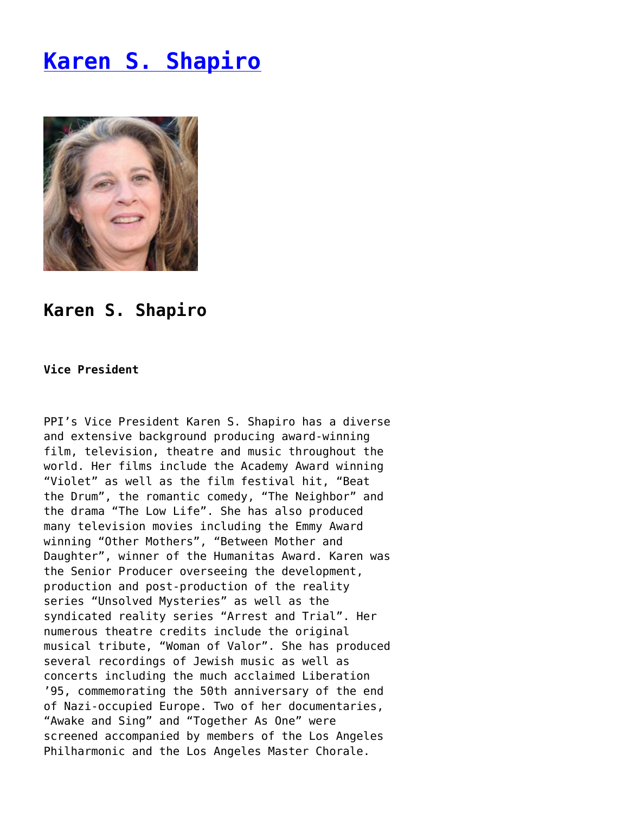## **[Karen S. Shapiro](https://www.progressiveisrael.org/about-us/staff/karen-s-shapiro/)**



## **Karen S. Shapiro**

## **Vice President**

PPI's Vice President Karen S. Shapiro has a diverse and extensive background producing award-winning film, television, theatre and music throughout the world. Her films include the Academy Award winning "Violet" as well as the film festival hit, "Beat the Drum", the romantic comedy, "The Neighbor" and the drama "The Low Life". She has also produced many television movies including the Emmy Award winning "Other Mothers", "Between Mother and Daughter", winner of the Humanitas Award. Karen was the Senior Producer overseeing the development, production and post-production of the reality series "Unsolved Mysteries" as well as the syndicated reality series "Arrest and Trial". Her numerous theatre credits include the original musical tribute, "Woman of Valor". She has produced several recordings of Jewish music as well as concerts including the much acclaimed Liberation '95, commemorating the 50th anniversary of the end of Nazi-occupied Europe. Two of her documentaries, "Awake and Sing" and "Together As One" were screened accompanied by members of the Los Angeles Philharmonic and the Los Angeles Master Chorale.